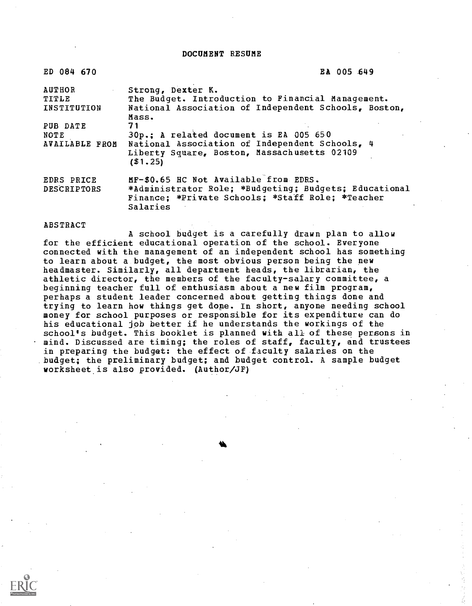DOCUMENT RESUME

| ED 084 670            | EA 005 649                                            |
|-----------------------|-------------------------------------------------------|
| <b>AUTHOR</b>         | Strong, Dexter K.                                     |
| TITLE                 | The Budget. Introduction to Financial Management.     |
| INSTITUTION           | National Association of Independent Schools, Boston,  |
|                       | Mass.                                                 |
| PUB DATE              | 71                                                    |
| NOTE                  | 30p.; A related document is EA 005 650                |
| <b>AVAILABLE FROM</b> | National Association of Independent Schools, 4        |
|                       | Liberty Square, Boston, Massachusetts 02109           |
|                       | ( \$1, 25)                                            |
| EDRS PRICE            | MF-\$0.65 HC Not Available from EDRS.                 |
| <b>DESCRIPTORS</b>    | *Administrator Role; *Budgeting; Budgets; Educational |
|                       | Finance: *Private Schools; *Staff Role; *Teacher      |

### ABSTRACT

Salaries

A school budget is a carefully drawn plan to allow for the efficient educational operation of the school. Everyone connected with the management of an independent school has something to learn about a budget, the most obvious person being the new headmaster. Similarly, all department heads, the librarian, the athletic director, the members of the faculty-salary committee, a beginning teacher full of enthusiasm about a new film program, perhaps a student leader concerned about getting things done and trying to learn how things get dope. In short, anyone needing school money for school purposes or responsible for its expenditure can do his educational job better if he understands the workings of the school's budget. This booklet is planned with all of these persons in mind. Discussed are timing; the roles of staff, faculty, and trustees in preparing the budget: the effect of faculty salaries on the budget; the preliminary budget; and budget control. A sample budget worksheet is also provided. (Author/JF)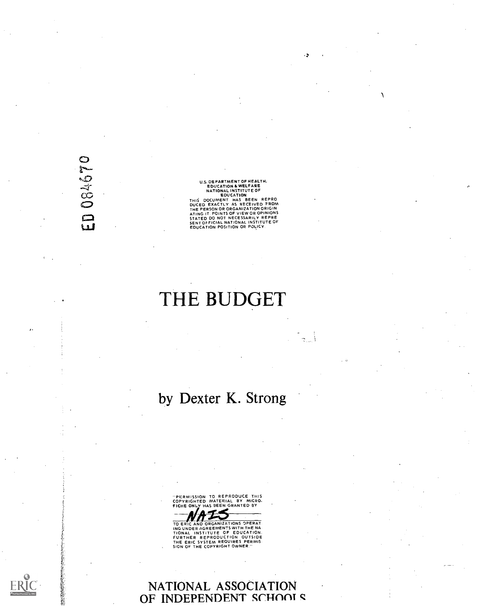ED 084670

お家族のことをあるところ

U.S. DEPARTMENT OF HEALTH,<br>
EDUCATION & WELFARE<br>
NATIONAL INSTITUTE OF<br>
EDUCATION & MELFARE<br>
NATIONAL INSTITUTE OF<br>
THIS DOCUMENT HAS BEEN REPRO<br>
DUCED EXACTLY AS RECEIVED FRDM<br>
ATING IT. POINTS OF VIEW OR OPINIONS<br>
STATED

# THE BUDGET

by Dexter K. Strong



TO ERIC AND ORGANIZATIONS OPERAT.<br>ING UNDER AGREEMENTS WITH THE NA<br>TIONAL INSTITUTE OF EDUCATION.<br>FURTHER REPRODUCTION OUTSIDE<br>THE ERIC SYSTEM REQUIRES PERMIS.<br>SION OF THE COPYRIGHT OWNER."

### NATIONAL ASSOCIATION OF INDEPENDENT SCHOOLS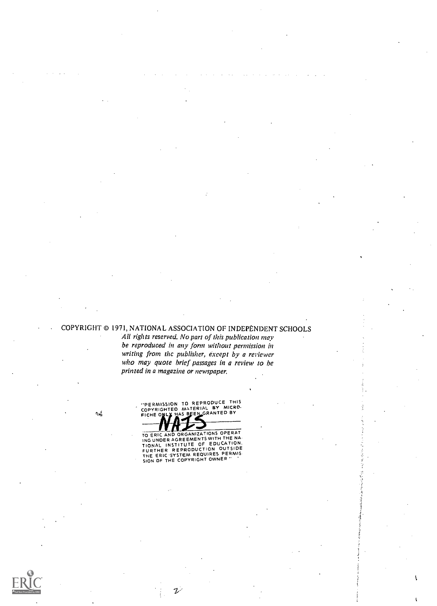### COPYRIGHT © 1971, NATIONAL ASSOCIATION OF INDEPENDENT SCHOOLS

All rights reserved. No part of this publication may be reproduced in any form without permission in writing from the publisher, except by a reviewer who may quote brief passages in a review to be printed in a magazine or newspaper.

 $\lambda_{\rm NL}$ 

"PERMISSION TO REPRODUCE THIS<br>COPYRIGHTED MATERIAL BY MICRO<br>FICHE ONLY HAS BEEN GRANTED BY

1,/

TO ERIC AND ORGANIZATIONS OPERAT<br>ING UNDER AGREEMENTS WITH THE NA.<br>TIONAL INSTITUTE OF EDUCATION.<br>FURTHER REPRODUCTION OUTSIDE<br>THE ERIC 'SYSTEM REQUIRES PERMIS<br>SION OF THE COPYRIGHT OWNER "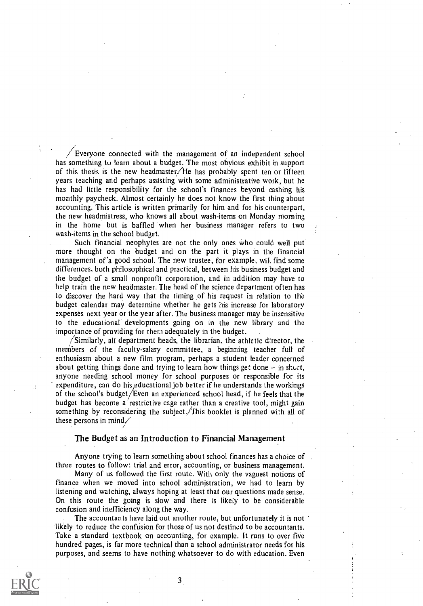Everyone connected with the management of an independent school has something to learn about a budget. The most obvious exhibit in support of this thesis is the new headmaster/He has probably spent ten or fifteen years teaching and perhaps assisting with some administrative work, but he has had little responsibility for the school's finances beyond cashing his monthly paycheck. Almost certainly he does not know the first thing about accounting. This article is written primarily for him and for his counterpart, the new headmistress, who knows all about wash-items on Monday morning in the home but is baffled when her business manager refers to two wash-items in the school budget.

Such financial neophytes are not the only ones who could well put more thought on the budget and on the part it plays in the financial management of 'a good school. The new trustee, for example, will find some differences, both philosophical and practical, between his business budget and the budget of a small nonprofit corporation, and in addition may have to help train the new headmaster. The head of the science department often has to discover the hard way that the timing of his request in relation to the budget calendar may determine whether he gets his increase for laboratory expenses next year or the year after. The business manager may be insensitive to the educational developments going on in the new library and the importance of providing for them adequately in the budget.

/Similarly, all department heads, the librarian, the athletic director, the members of the faculty-salary committee, a beginning teacher full of enthusiasm about a new film program, perhaps a student leader concerned about getting things done and trying to learn how things get done  $-$  in short, anyone needing school money for school purposes or responsible for its expenditure, can do his educational job better if he understands the workings of the school's budget/Even an experienced school head, if he feels that the budget has become a restrictive cage rather than a creative tool, might gain something by reconsidering the subject. This booklet is planned with all of these persons in mind/

#### The Budget as an Introduction to Financial Management

Anyone trying to learn something about school finances has a choice of three routes to follow: trial and error, accounting, or business management.

Many of us followed the first route. With only the vaguest notions of finance when we moved into school administration, we had to learn by listening and watching, always hoping at least that our questions made sense. On this route the going is slow and there is likely to be considerable confusion and inefficiency along the way.

The accountants have laid out another route, but unfortunately it is not likely to reduce the confusion for those of us not destined to be accountants. Take a standard textbook on accounting, for example. It runs to over five hundred pages, is far more technical than a school administrator needs for his purposes, and seems to have nothing whatsoever to do with education. Even

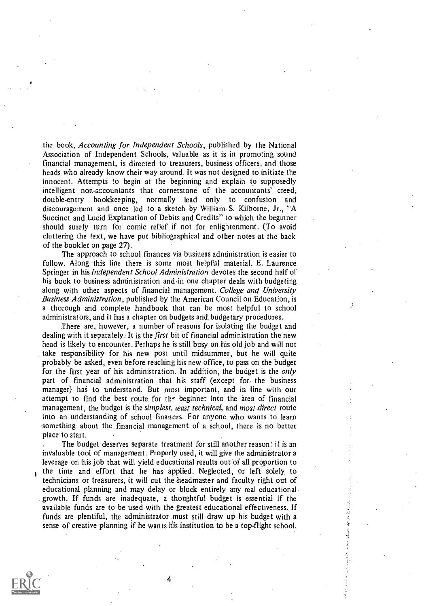the book, Accounting for Independent Schools, published by the National Association of Independent Schools, valuable as it is in promoting sound financial management, is directed to treasurers, business officers, and those heads who already know their way around. It was not designed to initiate the innocent. Attempts to begin at the beginning and explain to supposedly intelligent non-accountants that cornerstone of the accountants' creed, double-entry bookkeeping,, normally lead only to confusion and discouragement and once led to a sketch by William. S. Kilborne, Jr., "A Succinct and Lucid Explanation of Debits and Credits" to which the beginner should surely turn for comic relief if not for enlightenment. (To avoid cluttering the text, we have put bibliographical and other notes at the back of the booklet on page 27).

The approach to school finances via business administration is easier to follow. Along this line there is some most helpful material. E. Laurence Springer in his *Independent School Administration* devotes the second half of his book to business administration and in one chapter deals with budgeting along with other aspects of financial management. College and University Business Administration, published by the American Council on Education, is a thorough and complete handbook that can be most helpful to school administrators, and it has a chapter on budgets and. budgetary procedures.

There are, however, a number of reasons for isolating the budget and dealing with it separately. It is the *first* bit of financial administration the new head is likely to encounter. Perhaps he is still busy on his old job and will not take responsibility for his new post until midsummer, but he will quite probably be asked, even before reaching his new office, to pass on the budget for the first year of his administration. In addition, the budget is the *only* part of financial administration that his staff (except for. the business manager) has to understand. But most important, and in line with our attempt to find the best route for the beginner into the area of financial management, the budget is the simplest, ieast technical, and most direct route into an understanding of school finances. For anyone who wants to learn something about the financial management of a school, there is no better place to start.

The budget deserves separate treatment for still another reason: it is an invaluable tool of management. Properly used, it will give the administrator a leverage on his job that will yield educational results out of all proportion to the time and effort that he has applied. Neglected, or left solely to technicians or treasurers, it will cut the headmaster and faculty right out of educational planning and may delay or block entirely any real educational growth. If funds are inadequate, a thoughtful budget is essential if the available funds are to be used with the greatest educational effectiveness. If funds are plentiful, the administrator must still draw up his budget with a sense of creative planning if he wants his institution to be a top-flight school.

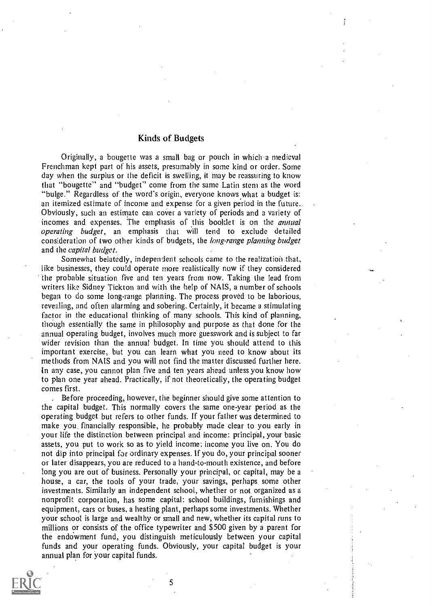### Kinds of Budgets

Originally, a bougette was a small bag or pouch in which 'a medieval Frenchman kept part of his assets, presumably in some kind or order. Some day when the surplus or the deficit is swelling, it may be reassuring to know that "bougette" and "budget" come from the same Latin stern as the word "bulge." Regardless of the word's origin, everyone knows what a budget is: an itemized estimate of income and expense for a given period in the future.. Obviously, such an estimate can cover a variety of periods and a variety of incomes and expenses. The emphasis of this booklet is on the annual operating budget, an emphasis that will tend to exclude detailed consideration of two other kinds of budgets, the *long-range planning budget* and the capital budget,

Somewhat belatedly, independent schools came to the realization that, like businesses, they could operate more realistically now if they considered the probable situation five and ten years from now. Taking the lead from writers like Sidney Tickton and with the help of NAIS, a number of schools began to do some long-range planning. The process proved to be laborious, revealing, and often alarming and sobering. Certainly, it became a stimulating factor in the educational thinking of many schools. This kind of planning, though essentially the same in philosophy and purpose as that done for the annual operating budget, involves much more guesswork and is subject to far wider revision than the annual budget. In time you should attend to this important exercise, but you can learn what you need to know about its methods from NAIS and you will not find the matter discussed further here. In any case, you cannot plan five and ten years ahead unless you know how to plan one year ahead. Practically, if not theoretically, the operating budget comes first.

Before proceeding, however, the beginner should give some attention to the capital budget. This normally covers the same one-year period as the operating budget but refers to other funds. If your father was determined to make you financially responsible, he probably made clear to you early in your life the distinction between principal and income: principal, your basic assets, you put to work so as to yield income; income you live on. You do not dip into principal for ordinary expenses. If you do, your principal sooner or later disappears, you are reduced to a hand-to-mouth existence, and before long you are out of business. Personally your principal, or capital, may be a house, a car, the tools of your trade, your savings, perhaps some other investments. Similarly an independent school, whether or not organized as a nonprofit corporation, has some capital: school buildings, furnishings and equipment, cars or buses, a heating plant, perhaps some investments. Whether your school is large and wealthy or small and new, whether its capital runs to millions or consists of the office typewriter and \$500 given by a parent for the endowment fund, you distinguish meticulously between your capital funds and your operating funds. Obviously, your capital budget is your annual plan for your capital funds.



S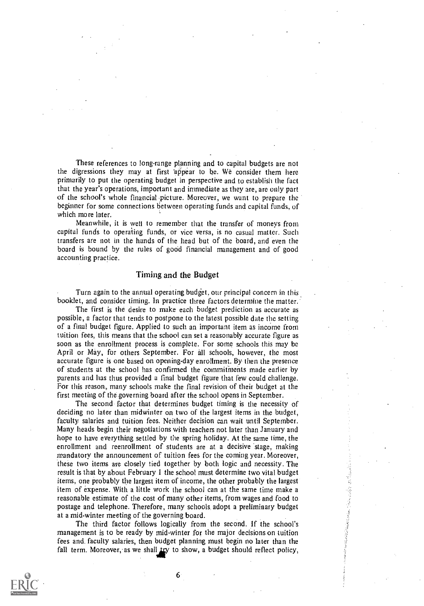These references to long-range planning and to capital budgets are not the digressions they may at first appear to be. We consider them here primarily to put the operating budget in perspective and to establish the fact that the year's operations, important and immediate as they are, are only part of the school's whole financial picture. Moreover, we want to prepare the beginner for some connections between operating funds and capital funds, of which more later.

Meanwhile, it is well to remember that the transfer of moneys from capital funds to operating funds, or vice versa, is no casual matter. Such transfers are not in the hands of the head but of the board, and even the board is bound by the rules of good financial management and of good accounting practice.

### Timing and the Budget

Turn again to the annual operating budget, our principal concern in this booklet, and consider timing. In practice three factors determine the matter.

The first is the desire to make each budget prediction as accurate as possible, a factor that tends to postpone to the latest possible date the setting of a final budget figure. Applied to such an important item as income from tuition fees, this means that the school can set a reasonably accurate figure as soon as the enrollment process is complete. For some schools this may be April or May, for others September. For all schools, however, the most accurate figure is one based on opening-day enrollment. By then the presence of students at the school has confirmed the commitments made earlier by parents and has thus provided a final budget figure that few could challenge. For this reason, many schools make the final revision of their budget at the first meeting of the governing board after the school opens in September.

The second factor that determines budget timing is the necessity of deciding no later than midwinter on two of the largest items in the budget, faculty salaries and tuition fees. Neither decision can wait until September. Many heads begin their negotiations with teachers not later than January and hope to have everything settled by the spring holiday. At the same time, the enrollment and reenrollment of students are at a decisive stage, making mandatory the announcement of tuition fees for the coming year. Moreover, these two items are closely tied together by both logic and necessity. The result is that by about February 1 the school must determine two vital budget items, one probably the largest item of income, the other probably the largest item of expense. With a little work the school can at the same time make a reasonable estimate of the cost of many other items, from wages and food to postage and telephone. Therefore, many schools, adopt a preliminary budget at a mid-winter meeting of the governing board.

The third factor follows logically from the second. If the school's management is to be ready by mid-winter for the major decisions on tuition fees and. faculty salaries, then budget planning must begin no later than the fall term. Moreover, as we shall try to show, a budget should reflect policy,

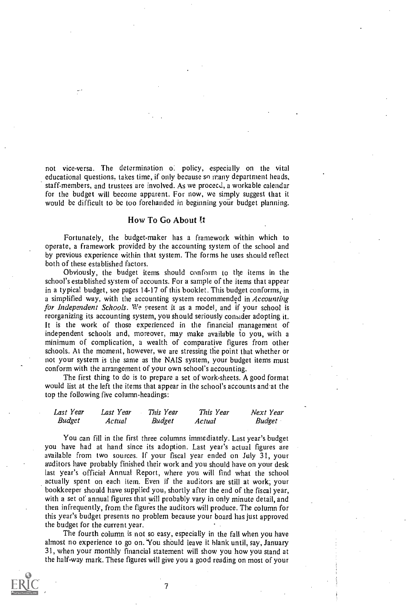not vice-versa. The determination of policy, especially on the vital educational questions, takes time, if only because so many department heads, staff-members, and trustees are involved. As we proceed, a workable calendar for the budget will become apparent. For now, we simply suggest that it would be difficult to be too forehanded in beginning your budget planning.

### How To Go About It

Fortunately, the budget-maker has a framework within which to operate, a framework provided by the accounting system of the school and by previous experience within that system. The forms he uses should reflect both of these established factors.

Obviously, the budget items should conform to the items in the school's established system of accounts. For a sample of the items that appear in a typical budget, see pages 14-17 of this booklet. This budget conforms, in a simplified way, with the accounting system recommended in *Accounting* for Independent Schools. We present it as a model, and if your school is reorganizing its accounting system, you should seriously consider adopting it. It is the work of those experienced in the financial management of independent schools and, moreover, may make available to you, with a minimum of complication, a wealth of comparative figures from other schools. At the moment, however, we are stressing the point that whether or not your system is the same as the NAIS system, your budget items must conform with the arrangement of your own school's accounting.

The first thing to do is to prepare a set of work-sheets. A good format would list at the left the items that appear in the school's accounts and at the top the following five column-headings:

| Last Year     | Last Year | This Year     | This Year | Next Year     |  |
|---------------|-----------|---------------|-----------|---------------|--|
| <b>Budget</b> | Actual    | <b>Budget</b> | Actual    | <b>Budget</b> |  |

You can fill in the first three columns immediately. Last year's budget you have had at hand since its adoption. Last year's actual figures are available from two sources. If your fiscal year ended on July 31, your auditors have probably finished their work and you should have on your desk last year's official Annual Report, where you will find what the school actually spent on each item. Even if the auditors are still at work; your bookkeeper should have supplied you, shortly after the end of the fiscal year, with a set of annual figures that will probably vary in only minute detail, and then infrequently, from the figures the auditors will produce. The column for this year's budget presents no problem because your board has just approved the budget for the current year.

The fourth column is not so easy, especially in the fall when you have almost no experience to go on. You should leave it blank until, say, January 31, when your monthly financial statement will show you how you stand at the half-way mark. These figures will give you a good reading on most of your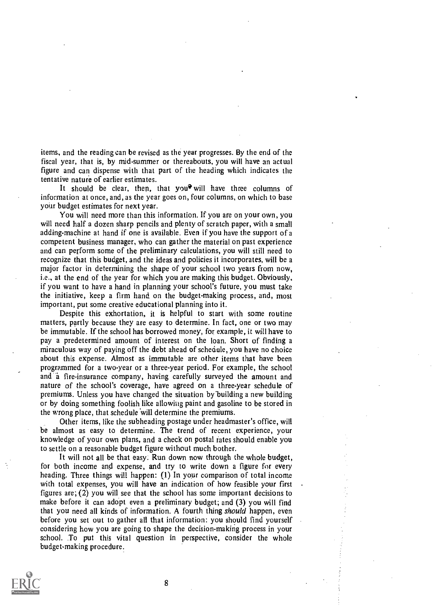items, and the reading can be revised as the year progresses. By the end of the fiscal year, that is, by mid-summer or thereabouts, you will have an actual figure and can dispense with that part of the heading which indicates the tentative nature of earlier estimates.

It should be clear, then, that you<sup> $\mathbf{\hat{y}}$ </sup> will have three columns of information at once, and, as the year goes on, four columns, on which to base your budget estimates for next year.

You will need more than this information. If you are on your own, you will need half a dozen sharp pencils and plenty of scratch paper, with a small adding-machine at hand if one is available. Even if you have the support of a competent business manager, who can gather the material on past experience and can perform some of the preliminary calculations, you will still need to recognize that this budget, and the ideas and policies it incorporates, will be a major factor in determining the shape of your school two years from now, i.e., at the end of the year for which you are making this budget. Obviously, if you want to have a hand in planning your school's future, you must take the initiative, keep a firm hand on the budget-making process, and, most important, put some creative educational planning into it.

Despite this exhortation, it is helpful to start with some routine matters, partly because they are easy to determine. In fact, one or two may be immutable. If the school has borrowed money, for example, it will have to pay a predetermined amount of interest on the loan. Short of finding a miraculous way of paying off the debt ahead of schedule, you have no choice about this expense. Almost as immutable are other items that have been programmed for a two-year or a three-year period. For example, the school and a fire-insurance company, having carefully surveyed the amount and nature of the school's coverage, have agreed on a three-year schedule of premiums. Unless you have changed the situation by'building a new building or by doing something foolish like allowing paint and gasoline to be stored in the wrong place, that schedule will determine the premiums.

Other items, like the subheading postage under headmaster's office, will be almost as easy to determine. The trend of recent experience, your knowledge of your own plans, and a check on postal rates should enable you to settle on a reasonable budget figure without much bother.

It will not all be that easy: Run down now through the whole budget, for both income and expense, and try to write down a figure for every heading. Three things will happen: (I) In your comparison of total income with total expenses, you will have an indication of how feasible your first figures are; (2) you will see that the school has some important decisions to make before it can adopt even a preliminary budget; and (3) you will find that you need all kinds of information. A fourth thing *should* happen, even before you set out to gather all that information: you should find yourself considering how you are going to shape the decision-making process in your school. To put this vital question in perspective, consider the whole budget-making procedure.

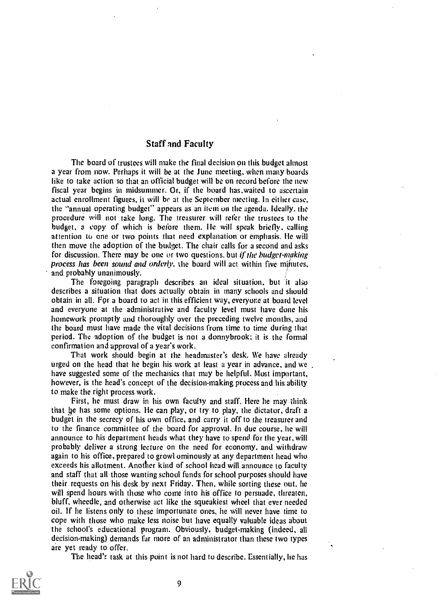### Staff and Faculty

The board of trustees will make the final decision on this budget almost a year from now. Perhaps it will be at the June meeting, when many hoards like to take action so that an official budget will be on record before the new fiscal year begins in midsummer. Or, if the board has.waited to ascertain actual enrollment figures, it will be at the September meeting. In either case, the "annual operating budget" appears as an item on the agenda. Ideally. the procedure will not take long. The treasurer will refer the trustees to the budget, a copy of which is before them. He will speak briefly, calling attention to one or two points that need explanation or emphasis. He will then move the adoption of the budget. The chair calls for a second and asks for discussion. There may be one or two questions, but if the budget-making process has been sound and orderly. the board will act within five minutes, and probably unanimously.

The foregoing paragraph describes an ideal situation, but it also describes a situation that does actually obtain in many schools and should obtain in all. For a board to act in this efficient way, everyone at board level and everyone at the administrative and faculty level must have done his homework promptly and thoroughly over the preceding twelve months, and the board must have made the vital decisions from time to time during that period. The adoption of the budget is not a donnybrook; it is the formal confirmation and approval of a year's work.

That work should begin at the headmaster's desk. We have already urged on the head that he begin his work at least a year in advance, and we . have suggested some of the mechanics that may be helpful. Most important, however, is the head's concept of the decision-making process and his ability to make the right process work.

First, he must draw in his own faculty and staff. Here he may think that he has some options. He can play, or try to play, the dictator, draft a budget in the secrecy of his own office, and carry it off to the treasurer and to the finance committee of the board for approval. In due course, he will announce to his department heads what they have to spend for the year, will probably deliver a strong lecture on the need for economy, and withdraw again to his office, prepared to growl ominously at any department head who exceeds his allotment. Another kind of school head will announce to faculty and staff that all those wanting school funds for school purposes should have their requests on his desk by next Friday. Then, while sorting these out, he will spend hours with those who come into his office to persuade, threaten, bluff, wheedle, and otherwise act like the squeakiest wheel that ever needed oil. If he listens only to these importunate ones, he will never have time to cope with those who make less noise but have equally valuable ideas about the school's educational program. Obviously, budget-making (indeed, all decision-making) demands far more of an administrator than these two types are yet ready to offer.

The head's task at this point is not hard to describe. Essentially, he has

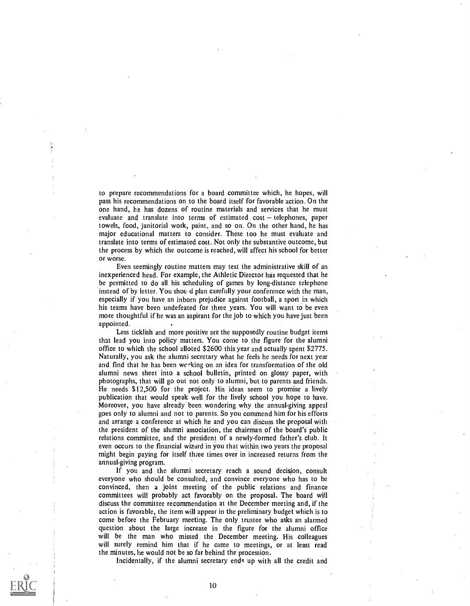to prepare recommendations for a board committee which, he hopes, will pass his recommendations on to the board itself for favorable action. On the one hand, he has dozens of routine materials and services that he must evaluate and translate into terms of estimated  $cost - telephones$ , paper towels, food, janitorial work, paint, and so on. On the other hand, he has major educational matters to consider. These too he must evaluate and translate into terms of estimated cost. Not only the substantive outcome, but the process by which the outcome is reached, will affect his school for better or worse.

Even seemingly routine matters may test the administrative skill of an inexperienced head. For example, the Athletic Director has requested that he be permitted to do all his scheduling of games by long-distance telephone instead of by letter. You should plan carefully your conference with the man, especially if you have an inborn prejudice against football, a sport in which his teams have been undefeated for three years. You will want to be even more thoughtful if he was an aspirant for the job to which you have just been appointed.

Less ticklish and more positive are the supposedly routine budget items that lead you into policy matters. You come to the figure for the alumni office to which the school alloted \$2600 this year and actually spent \$2775. Naturally, you ask the alumni secretary what he feels he needs for next year and find that he has been werking on an idea for transformation of the old alumni news sheet into a school bulletin, printed on glossy paper, with photographs, that will go out not only to alumni, but to parents and friends. He needs \$12,500 for the project. His ideas seem to promise a lively publication that would speak well for the lively school you hope to have. Moreover, you have already been wondering why the annual-giving appeal goes only to alumni and not to parents. So you commend him for his efforts and arrange a conference at which he and you can discuss the proposal with the president of the alumni association, the chairman of the board's public relations committee, and the president of a newly-formed father's club. It even occurs to the financial wizard in you that within two years the proposal might begin paying for itself three times over in increased returns from the annual-giving program.

If you and the alumni secretary reach a sound decision, consult everyone who should be consulted, and convince everyone who has to be convinced, then a joint meeting of the public relations and finance committees will probably act favorably on the proposal. The board will discuss the committee recommendation at the December meeting and, if the action is favorable, the item will appear in the preliminary budget which is to come before the February meeting. The only trustee who asks an alarmed question about the large increase in the figure for the alumni office will be the man who missed the December meeting. His colleagues will surely remind him that if he came to meetings, or at least read the minutes, he would not be so far behind the procession.

Incidentally, if the alumni secretary ends up with all the credit and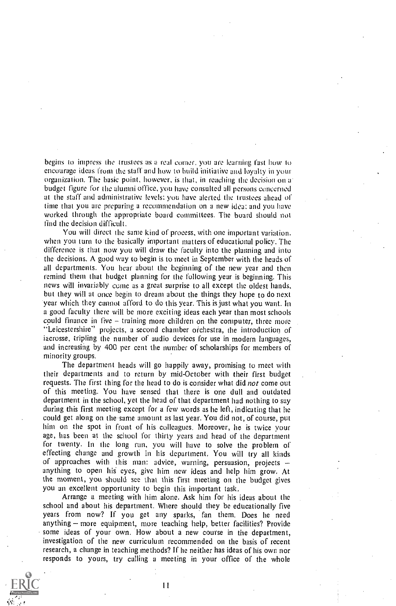begins to impress the trustees as a real comer. you are learning fast how to encourage ideas from the staff and how to build initiative and loyalty in your organization. The basic point, however, is that, in reaching the decision on a budget figure for the alumni office, you have consulted all persons concerned at the staff and administrative levels: you have alerted the trustees ahead of time that you are preparing a recommendation on a new idea: and you have worked through the appropriate board committees. The board should not find the decision difficult.

You will direct the same kind of process. with one important variation. when you turn to the basically important matters of educational policy. The difference is that now you will draw the faculty into the planning and into the decisions. A good way to begin is to meet in September with the heads of all departments. You hear about the beginning of the new year and then remind them that budget planning for the following year is beginning. This news will invariably come as a great surprise to all except the oldest hands, but they will at once begin to dream about the things they hope to do next year which they cannot afford to do this year. This is just what you want. in a good faculty there will be more exciting ideas each year than most schools could finance in five  $-$  training more children on the computer, three more "Leicestershire" projects, a second chamber orchestra, the introduction of lacrosse, tripling the number of audio devices for use in modern languages, and increasing by 400 per cent the number of scholarships for members of minority groups.

The department heads will go happily away, promising to meet with their departments and to return by mid-October with their first budget requests. The first thing for the head to do is consider what did not come out of this meeting. You have sensed that there is one dull and outdated department in the school, yet the head of that department had nothing to say during this first meeting except for a few words as he left, indicating that he could get along on the-same amount as last year. You did not, of course, put him on the spot in front of his colleagues. Moreover, he is twice your age, has been at the school for thirty years and head of the department for twenty. In the long run, you will have to solve the problem of effecting change and growth in his department. You will try all kinds of approaches with this man: advice, warning, persuasion, projects anything to open his eyes, give him new ideas and help him grow. At the moment, you should see that this first meeting on the budget gives you an excellent opportunity to begin this important task.

Arrange a meeting with him alone. Ask him for his ideas about the school and about his department. Where should they be educationally five years from now? If you get any sparks, fan them. Does he need anything – more equipment, more teaching help, better facilities? Provide some ideas of your own. How about a new course in the department, investigation of the new curriculum recommended on the basis of recent research, a change in teaching methods? If he neither has ideas of his own nor responds to yours, try calling a meeting in your office of the whole

 $\mathbf{1}$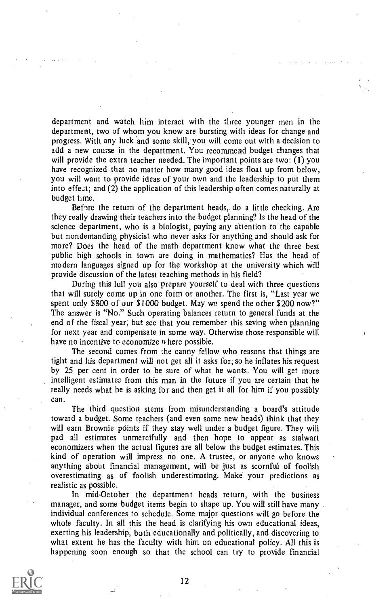department and watch him interact with the three younger men in the department, two of whom you know are bursting with ideas for change and progress. With any luck and some skill, you will come out with a decision to add a new course in the department. You recommend budget changes that will provide the extra teacher needed. The important points are two: (1) you have recognized that no matter how many good ideas float up from below, you will want to provide ideas of your own and the leadership to put them into effect; and (2) the application of this leadership often comes naturally at budget time.

Before the return of the department heads, do a little checking. Are they really drawing their teachers into the budget planning? Is the head of the science department, who is a biologist, paying any attention to the capable but nondemanding physicist who never asks for anything and should ask for more? Does the head of the math department know what the three best public high schools in town are doing in mathematics? Has the head of modern languages signed up for the workshop at the university which will provide discussion of the latest teaching methods in his field?

During this lull you also prepare yourself to deal with three questions that will surely come up in one form or another. The first is, "Last year we spent only \$800 of our \$1000 budget. May wc spend the other \$200 now?" The answer is "No." Such operating balances return to general funds at the end of the fiscal year, but see that you remember this saving when planning for next year and compensate in some way. Otherwise those responsible will have no incentive to economize where possible.

The second comes from the canny fellow who reasons that things are tight and his department will not get all it asks for; so he inflates his request by 25 per cent in order to be sure of what he wants. You will get more intelligent estimates from this man in the future if you are certain that he really needs what he is asking for and then get it all for him if you possibly can.

The third question stems from misunderstanding a board's attitude toward a budget. Some teachers (and even some new heads) think that they will earn Brownie points if they stay well under a budget figure. They will pad all estimates unmercifully and then hope to appear as stalwart economizers when the actual figures are all below the budget estimates. This kind of operation will impress no one. A trustee, or anyone who knows anything about financial management, will be just as scornful of foolish overestimating as of foolish underestimating. Make your predictions as realistic as possible.

In mid-October the department heads return, with the business manager, and some budget items begin to shape up. You will still have many individual conferences to schedule. Some major questions will go before the whole faculty. In all this the head is clarifying his own educational ideas, exerting his leadership, both educationally and politically, and discovering to what extent he has the faculty with him on educational policy. All this is happening soon enough so that the school can try to provide financial

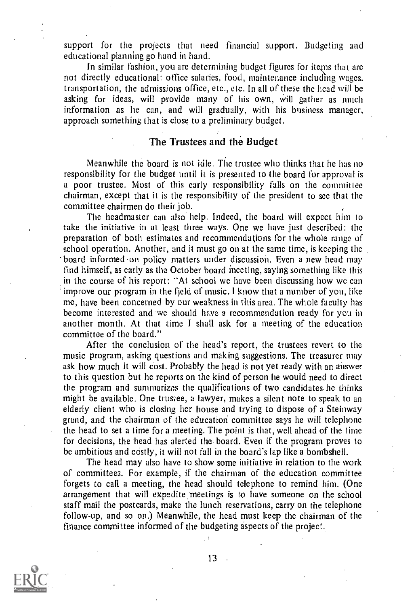support for the projects that need financial support. Budgeting and educational planning go hand in hand.

In similar fashion, you are determining budget figures for items that are not directly educational: office salaries, food, maintenance including wages, transportation, the admissions office, etc., etc. In all of these the head will be asking for ideas, will provide many of his own, will gather as much information as he can, and will gradually, with his business manager, approach something that is close to a preliminary budget.

### The Trustees and the Budget

Meanwhile the board is not idle. The trustee who thinks that he has no responsibility for the budget until it is presented to the board for approval is a poor trustee. Most of this early responsibility falls on the committee chairman, except that it is the responsibility of the president to see that the committee chairmen do their job.

The headmaster can also help. Indeed, the board will expect him to take the initiative in at least three ways. One we have just described: the preparation of both estimates and recommendations for the whole range of school operation. Another, and it must go on at the same time, is keeping the board informed on policy matters under discussion. Even a new head may find himself, as early as the October board meeting, saying something like this in the course of his report: "At school we have been discussing how we can improve our program in the field of music. I know that a number of you, like me, have been concerned by our weakness in this area. The whole faculty has become interested and we should have a recommendation ready for you in another month. At that time I shall ask for a meeting of the education committee of the board."

After the conclusion of the head's report, the trustees revert to the music program, asking questions and making suggestions. The treasurer may ask how much it will cost. Probably the head is not yet ready with an answer to this question but he reports on the kind of person he would need to direct the program and summarizes the qualifications of two candidates he thinks might be available. One trustee, a lawyer, makes a silent note to speak to an elderly client who is closing her house and trying to dispose of a Steinway grand, and the chairman of the education committee says he will telephone the head to set a time for a meeting. The point is that, well ahead of the time for decisions, the head has alerted the board. Even if the program proves to be ambitious and costly, it will not fall in the board's lap like a bombshell.

The head may also have to show some initiative in relation to the work of committees. For example, if the chairman of the education committee forgets to call a meeting, the head should telephone to remind him. (One arrangement that will expedite meetings is to have someone on the school staff mail the postcards, make the lunch reservations, carry on the telephone follow-up, and so on.) Meanwhile, the head must keep the chairman of the finance committee informed of the budgeting aspects of the project.



13

 $\mathbf{L}$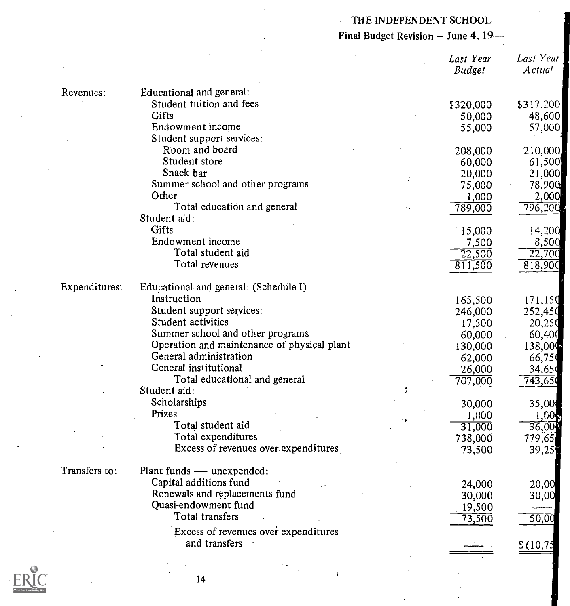### THE INDEPENDENT SCHOOL

## Final Budget Revision  $-$  June 4, 19 $-$

|               |                                             |   | Last Year<br><b>Budget</b> | Last Year<br><b>Actual</b> |
|---------------|---------------------------------------------|---|----------------------------|----------------------------|
| Revenues:     | Educational and general:                    |   |                            |                            |
|               | Student tuition and fees                    |   | \$320,000                  | \$317,200                  |
|               | Gifts                                       |   | 50,000                     | 48,600                     |
|               | Endowment income                            |   | 55,000                     | 57,000                     |
|               | Student support services:                   |   |                            |                            |
|               | Room and board                              |   | 208,000                    | 210,000                    |
|               | Student store                               |   | 60,000                     | 61,500                     |
|               | Snack bar                                   |   | 20,000                     | 21,000                     |
|               | Summer school and other programs            | x | 75,000                     | 78,900                     |
|               | Other                                       |   | 1,000                      | 2,000                      |
|               | Total education and general                 |   | 789,000                    | 796,200                    |
|               | Student aid:                                |   |                            |                            |
|               | Gifts                                       |   | 15,000                     | 14,200                     |
|               | Endowment income                            |   |                            |                            |
|               | Total student aid                           |   | 7,500<br>22,500            | 8,500<br>22,700            |
|               | Total revenues                              |   |                            |                            |
|               |                                             |   | 811,500                    | 818,900                    |
| Expenditures: | Educational and general: (Schedule I)       |   |                            |                            |
|               | Instruction                                 |   | 165,500                    | 171,150                    |
|               | Student support services:                   |   | 246,000                    | 252,450                    |
|               | Student activities                          |   |                            |                            |
|               | Summer school and other programs            |   | 17,500                     | 20,250                     |
|               | Operation and maintenance of physical plant |   | 60,000                     | 60,400                     |
|               | General administration                      |   | 130,000                    | 138,000                    |
|               |                                             |   | 62,000                     | 66,750                     |
|               | General institutional                       |   | 26,000                     | 34,651                     |
|               | Total educational and general               |   | 707,000                    | 743,651                    |
|               | Student aid:                                |   |                            |                            |
|               | Scholarships                                |   | 30,000                     | 35,00                      |
|               | Prizes                                      |   | 1,000                      | 1,00,                      |
|               | Total student aid                           |   | 31,000                     | 36,006                     |
|               | Total expenditures                          |   | 738,000                    | 779,65                     |
|               | Excess of revenues over expenditures        |   | 73,500                     | 39,25                      |
| Transfers to: | Plant funds — unexpended:                   |   |                            |                            |
|               | Capital additions fund                      |   | 24,000                     | 20,00                      |
|               | Renewals and replacements fund              |   |                            |                            |
|               | Quasi-endowment fund                        |   | 30,000                     | 30,00                      |
|               | Total transfers                             |   | 19,500                     |                            |
|               |                                             |   | 73,500                     | 50,00                      |
|               | Excess of revenues over expenditures        |   |                            |                            |
|               | and transfers                               |   |                            | \$(10,7)                   |
|               |                                             |   |                            |                            |
|               |                                             |   |                            |                            |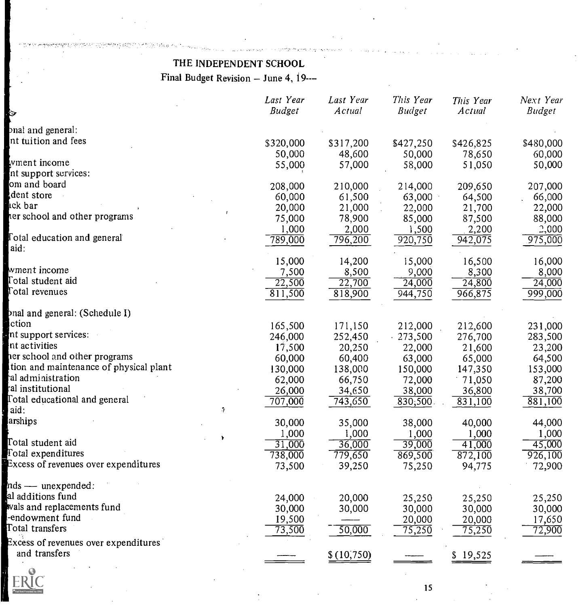### THE INDEPENDENT SCHOOL

Final Budget Revision - June 4, 19---

| ্য                                     | Last Year<br><b>Budget</b> | Last Year<br>Actual | This Year<br><b>Budget</b> | This Year<br>Actual | Next Year<br><b>Budget</b> |
|----------------------------------------|----------------------------|---------------------|----------------------------|---------------------|----------------------------|
|                                        |                            |                     |                            |                     |                            |
| bnal and general:                      |                            |                     |                            |                     |                            |
| nt tuition and fees                    | \$320,000                  | \$317,200           | \$427,250                  | \$426,825           | \$480,000                  |
|                                        | 50,000                     | 48,600              | 50,000                     | 78,650              | 60,000                     |
| wment income                           | 55,000                     | 57,000              | 58,000                     | 51,050              | 50,000                     |
| nt support services:                   |                            |                     |                            |                     |                            |
| om and board                           | 208,000                    | 210,000             | 214,000                    | 209,650             | 207,000                    |
| dent store                             | 60,000                     | 61,500              | 63,000                     | 64,500              | 66,000                     |
| ick bar                                | 20,000                     | 21,000              | 22,000                     | 21,700              | 22,000                     |
| her school and other programs          | 75,000                     | 78,900              | 85,000                     | 87,500              | 88,000                     |
|                                        | 1,000                      | 2,000               | 1,500                      | 2,200               | 2,000                      |
| <b>Fotal education and general</b>     | $\sqrt{789,000}$           | $\sqrt{796,200}$    | 920,750                    | 942,075             | 975,000                    |
| aid:                                   |                            |                     |                            |                     |                            |
|                                        | 15,000                     | 14,200              | 15,000                     | 16,500              | 16,000                     |
| wment income                           | 7,500                      | 8,500               | 9,000                      | 8,300               | 8,000                      |
| Total student aid                      | 22,500                     | 22,700              | 24,000                     | 24,800              | 24,000                     |
| Total revenues                         | 811,500                    | 818,900             | 944,750                    | 966,875             | 999,000                    |
|                                        |                            |                     |                            |                     |                            |
| onal and general: (Schedule I)         |                            |                     |                            |                     |                            |
| ction                                  | 165,500                    | 171,150             | 212,000                    | 212,600             | 231,000                    |
| nt support services:                   | 246,000                    | 252,450             | .273,500                   | 276,700             | 283,500                    |
| nt activities                          | 17,500                     | 20,250              | 22,000                     | 21,600              | 23,200                     |
| per school and other programs          | 60,000                     | 60,400              | 63,000                     | 65,000              | 64,500                     |
| tion and maintenance of physical plant | 130,000                    | 138,000             | 150,000                    | 147,350             | 153,000                    |
| ral administration                     | 62,000                     | 66,750              |                            |                     | 87,200                     |
| ral institutional                      |                            |                     | 72,000                     | 71,050              |                            |
| Total educational and general          | 26,000                     | 34,650              | 38,000                     | 36,800              | 38,700                     |
| $\ddot{\theta}$<br>aid:                | 707,000                    | 743,650             | .830,500                   | 831,100             | 881,100                    |
| arships                                |                            |                     |                            |                     |                            |
|                                        | 30,000                     | 35,000              | 38,000                     | 40,000              | 44,000                     |
| ÷<br>Total student aid                 | 1,000                      | 1,000               | 1,000                      | 1,000               | 1,000                      |
| Total expenditures                     | 31,000                     | 36,000              | 39,000                     | 41,000              | 45,000                     |
| Excess of revenues over expenditures   | 738,000                    | 779,650             | 869,500                    | 872,100             | $9\overline{26,100}$       |
|                                        | 73,500                     | 39,250              | 75,250                     | 94,775              | 72,900                     |
| nds — unexpended:                      |                            |                     |                            |                     |                            |
| al additions fund                      |                            |                     |                            |                     |                            |
| wals and replacements fund             | 24,000                     | 20,000              | 25,250                     | 25,250              | 25,250                     |
| -endowment fund                        | 30,000                     | 30,000              | 30,000                     | 30,000              | 30,000                     |
| Total transfers                        | 19,500                     |                     | 20,000                     | 20,000              | 17,650                     |
|                                        | 73,500                     | 50,000              | 75,250                     | 75,250              | 72,900                     |
| Excess of revenues over expenditures   |                            |                     |                            |                     |                            |
| and transfers                          |                            | \$(10,750)          |                            | \$19,525            |                            |
|                                        |                            |                     |                            |                     |                            |

**New York Contract Service Contract Contract Service Contract Contract Contract Contract Contract Contract Contract Contract Contract Contract Contract Contract Contract Contract Contract Contract Contract Contract Contrac**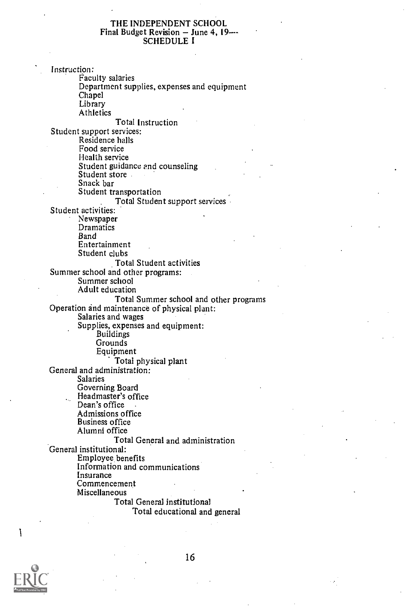#### THE INDEPENDENT SCHOOL Final Budget Revision  $-$  June 4, 19 $-$ SCHEDULE I

Instruction: Faculty salaries Department supplies, expenses and equipment Chapel **Library Athletics** Total Instruction Student support services: Residence halls Food service Health service Student guidance and counseling Student store and the state Snack bar Student transportation Total Student support services Student activities: Newspaper Dramatics Band Entertainment Student clubs Total Student activities Summer school and other programs: Summer school Adult education Total Summer school and other programs Operation and maintenance of physical plant: Salaries and wages Supplies, expenses and equipment: Buildings **Grounds** Equipment Total physical plant General and administration: Salaries Governing Board Headmaster's office  $\mathbf{L}_{\text{max}}$ Dean's office Admissions office Business office Alumni office Total General and administration General institutional: Employee benefits Information and communications Insurance Commencement Miscellaneous Total General institutional Total educational and general

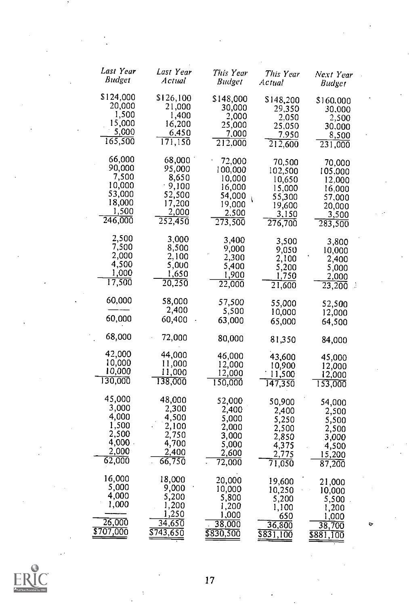| Last Year<br>Budget                                                         | Last Year<br>Actual                                                          | This Year<br><i>Budget</i>                                                          | This Year<br>Actual                                                           | Next Year<br>Budger                                                           |   |
|-----------------------------------------------------------------------------|------------------------------------------------------------------------------|-------------------------------------------------------------------------------------|-------------------------------------------------------------------------------|-------------------------------------------------------------------------------|---|
| \$124,000<br>20,000<br>1,500<br>15,000<br>5,000<br>165,500                  | \$126,100<br>21,000<br>1,400<br>16,200<br>6,450<br>171,150                   | \$148,000<br>30,000<br>2,000<br>25,000<br>7,000<br>212,000                          | \$148,200<br>29,350<br>2,050<br>25,050<br>7.950<br>$\overline{212,}600$       | \$160,000<br>30,000<br>2,500<br>30.000<br>8,500<br>231,000                    |   |
| 66,000<br>90,000<br>7,500<br>10,000<br>53,000<br>18,000<br>1,500<br>246,000 | 68,000<br>95,000<br>8,650<br>- 9,100<br>52,500<br>17,200<br>2,000<br>252,450 | 72.000<br>100,000<br>10,000<br>16,000<br>54,000<br>Í.<br>19,000<br>2,500<br>273,500 | 70,500<br>102,500<br>10,650<br>15,000<br>55,300<br>19,600<br>3,150<br>276,700 | 70,000<br>105,000<br>12,000<br>16,000<br>57,000<br>20,000<br>3,500<br>283,500 |   |
| 2,500<br>7,500<br>2,000<br>4,500<br>1,000<br>17,500                         | 3,000<br>8,500<br>2,100<br>5,000<br>1,650<br>20,250                          | 3,400<br>9,000<br>2,300<br>5,400<br>1,900<br>$\overline{22,000}$                    | 3,500<br>9,050<br>2,100<br>5,200<br>1,750<br>21,600                           | 3,800<br>10,000<br>2,400<br>5,000<br>2,000<br>23,200<br>W                     |   |
| 60,000<br>60,000                                                            | 58,000<br>2,400<br>60,400                                                    | 57,500<br>5,500<br>63,000                                                           | 55,000<br>10,000<br>65,000                                                    | 52,500<br>12,000<br>64,500                                                    |   |
| 68,000                                                                      | 72,000                                                                       | 80,000                                                                              | 81,350                                                                        | 84,000                                                                        |   |
| 42,000<br>10,000<br>10,000<br>130,000                                       | 44,000<br>11,000<br>11,000<br>138,000                                        | 46,000<br>12,000<br>12,000<br>150,000                                               | 43,600<br>10,900<br>11,500<br>147,350                                         | 45,000<br>12,000<br>12,000<br>153,000                                         |   |
| 45,000<br>3,000<br>4,000<br>1,500<br>2,500<br>4,000 -<br>2,000<br>62,000    | 48,000<br>2,300<br>4,500<br>2,100<br>2,750<br>4,700<br>2,400<br>66,750       | 52,000<br>2,400<br>5,000<br>2,000<br>3,000<br>5,000<br>2,600<br>72,000              | 50,900<br>2,400<br>5,250<br>2,500<br>2,850<br>4,375<br>2,775<br>71,050        | 54,000<br>2,500<br>5,500<br>2,500<br>3,000<br>4,500<br>15,200<br>87,200       |   |
| 16,000<br>5,000<br>4,000<br>1,000<br>26,000<br>\$707,000                    | 18,000<br>9,000<br>5,200<br>1,200<br>1,250<br>34,650<br>\$743,650            | 20,000<br>10,000<br>5,800<br>1,200<br>1,000<br>38,000<br>\$830,500                  | 19,600<br>10,250<br>5,200<br>1,100<br>650<br>36,800<br><u>\$831,100</u>       | 21,000<br>10,000<br>5,500<br>1,200<br>1,000<br>38,700<br>\$881,100            | ۰ |

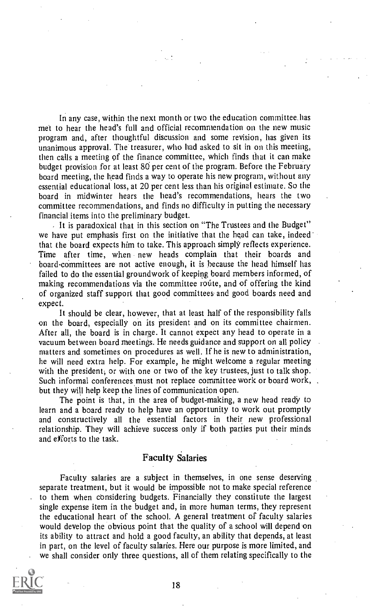In any case, within the next month or two the education committee.has met to hear the head's full and official recommendation on the new music program and, after thoughtful discussion and some revision, has given its unanimous approval. The treasurer, who had asked to sit in on this meeting, then calls a meeting of the finance committee, which finds that it can make budget provision for at least 80 per cent of the program. Before the February board meeting, the head finds a way to operate his new program, without any essential educational loss, at 20 per cent less than his original estimate. So the board in midwinter hears the head's recommendations, hears the two committee recommendations, and finds no difficulty in putting the necessary financial items into the preliminary budget.

It is paradoxical that in this section on "The Trustees and the Budget" we have put emphasis first on the initiative that the head can take, indeed that the board expects him to take. This approach simply reflects experience. Time after time, when new heads complain that their boards and board-cOmmittees are not active enough, it is because the head himself has failed to do the essential groundwork of keeping board members informed, of making recommendations via the committee route, and of offering the kind of organized staff support that good committees and good boards need and expect.

It should be clear, however, that at least half of the responsibility falls on the board, especially on its president and on its committee chairmen. After all, the board is in charge. It cannot expect any head to operate in a vacuum between board meetings. He needs guidance and support on all policy matters and sometimes on procedures as well. If he is new to administration, he will need extra help. For example, he might welcome a regular meeting with the president; or with one or two of the key trustees, just to talk shop. Such informal conferences must not replace committee work or board work, but they will help keep the lines of communication open.

The point is that, in the area of budget-making, a new head ready to learn and a board ready to help have an opportunity to work out promptly and constructively all the essential factors in their new professional relationship. They will achieve success only if both parties put their minds and efforts to the task.

### Faculty Salaries

Faculty salaries are a subject in themselves, in one sense deserving separate treatment, but it would be impossible not to make special reference to them when considering budgets. Financially they constitute the largest single expense item in the budget and, in more human terms, they represent the educational heart of the school. A general treatment of faculty salaries would develop the obvious point that the quality of a school will depend on its ability to attract and hold a good faculty, an ability that depends, at least in part, on the level of faculty salaries. Here our purpose is more limited, and we shall consider only three questions, all of them relating specifically to the

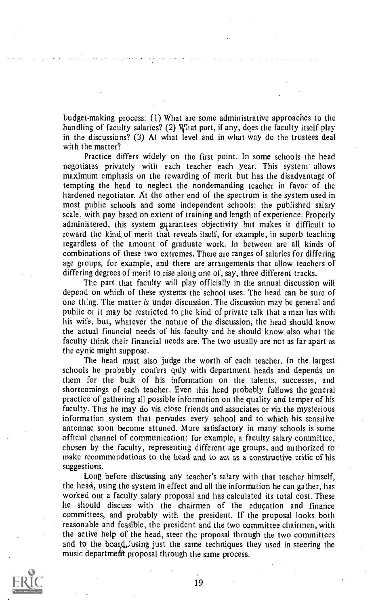budget-making process: (1) What are some administrative approaches to the handling of faculty salaries? (2) What part, if any, does the faculty itself play in the discussions? (3) At what level and in what way do the trustees deal with the matter?

Practice differs widely on the first point. In some schools the head negotiates privately with each teacher each year. This system allows maximum emphasis on the rewarding of merit but has the disadvantage of tempting the head to neglect the nondemanding teacher in favor of the hardened negotiator. At the other end of the spectrum is the system used in most public schools and some independent schools: the published salary scale, with pay based on extent of training and length of experience. Properly administered, this system guarantees objectivity but makes it difficult to reward the kind of merit that reveals itself, for example, in superb teaching regardless of the amount of graduate work. In between are all kinds of combinations of these two extremes. There are ranges of salaries for differing age groups, for example, and there are arrangements that allow teachers of differing degrees of merit to rise along one of, say, three different tracks.

The part that faculty will play officially in the annual discussion will depend on which of these systems the school uses. The head can be sure of one thing: The matter is under discussion. The discussion may be general and public or it may be restricted to the kind of private talk that a man has with his wife, but, whatever the nature of the discussion, the head should know the .actual financial needs of his faculty and he should know also what the faculty think their financial needs are. The two usually are not as far apart as the cynic might suppose.

The head must also judge the worth of each teacher. In the largest. schools he probably confers qnly with department heads and depends on them for the bulk of his information on the talents, successes, and shortcomings of each teacher. Even this head probably follows the general practice of gathering all possible information on the quality and temper of his faculty. This he may do via close friends and associates or via the mysterious information system that pervades every school and to which his sensitive antennae soon become attuned. More satisfactory in many schools is some official channel of communication: for example, a faculty salary committee, chosen by the faculty, representing different age groups, and authorized to make recommendations to the head and to act as a constructive critic of his suggestions.

Long before discussing any teacher's salary with that teacher himself, the head, using the system in effect and all the information he can gather, has worked out a faculty salary proposal and has calculated its total cost. These he should discuss with the chairmen of the education and finance committees, and probably with the president. If the proposal looks both reasonable and feasible, the president and the two committee chairmen, with the active help of the head, steer the proposal through the two committees and to the board, using just the same techniques they used in steering the music department proposal through the same process.

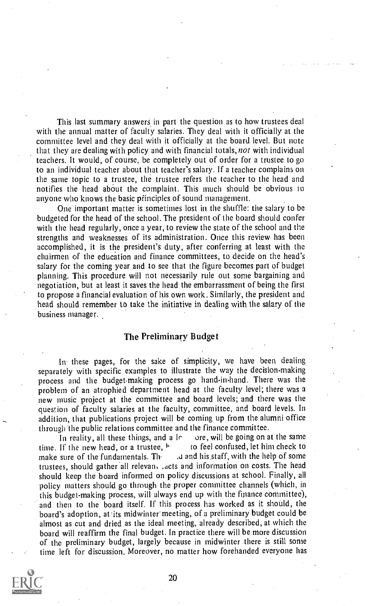This last summary answers in part the question as to how trustees deal with the annual matter of faculty salaries. They deal with it officially at the committee level and they deal with it officially at the board level. But note that they are dealing with policy and with financial totals, not with individual teachers. It would, of course, be completely out of order for a trustee to go to an individual teacher about that teacher's salary. If a teacher complains on the same topic to a trustee, the trustee refers the teacher to the head and notifies the head about the complaint. This much should be obvious to anyone who knows the basic pfinciples of sound management.

One important matter is sometimes lost in the shuffle: the salary to be budgeted for the head of the school. The president of the board should confer with the head regularly, once a year, to review the state of the school and the strengths and weaknesses of its administration. Once this review has been accomplished, it is the president's duty, after conferring at least with the chairmen of the education and finance committees, to decide on the head's salary for the coming year and to see that the figure becomes part of budget planning. This procedure will not necessarily rule out some bargaining and negotiation, but at least it saves the head the embarrassment of being the first to propose a financial evaluation of his own work. Similarly, the president and head should remember to take the initiative in dealing with the salary of the business manager.

### The Preliminary Budget

In these pages, for the sake of simplicity, we have been dealing separately with specific examples to illustrate the way the decision-making process and the budget-making process go hand-in-hand. There was the problem of an atrophied department head at the faculty level; there was a new music project at the committee and board levels; and there was the question of faculty salaries at the faculty, committee, and board levels. In addition, that publications project will be coming up from the alumni office through the public relations committee and the finance committee.<br>In reality, all these things, and a  $\lfloor \cdot \rfloor$  ore, will be going on at the same

In reality, all these things, and a  $\lfloor r \rfloor$  ore, will be going on at the same If the new head, or a trustee,  $\lfloor r \rfloor$  to feel confused, let him check to time. If the new head, or a trustee, him<br>make sure of the fundamentals. The a and his staff, with the help of some trustees, should gather all relevant .acts and information on costs. The head should keep the board informed on policy discussions at school. Finally, all policy matters should go through the proper committee channels (which, in this budget-making process, will always end up with the finance committee), and then to the board itself. If this process has worked as it should, the board's adoption, at its midwinter' meeting, of a preliminary budget could be almost as cut and dried as the ideal meeting, already described, at which the board will reaffirm the final budget. In practice there will be more discussion of the preliminary budget, largely because in midwinter there is still some time left for discussion. Moreover, no matter how forehanded everyone has

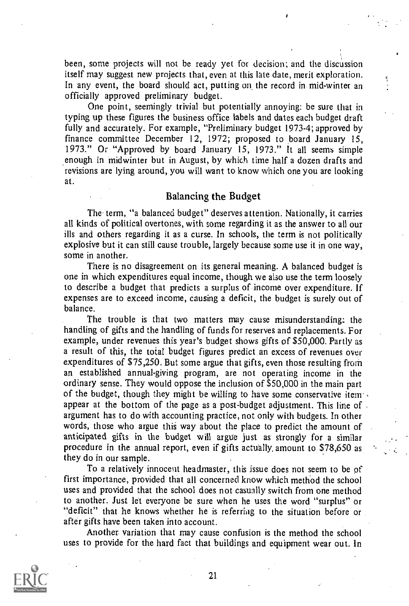been, some projects will not be ready yet for decision; and the discussion itself may suggest new projects that, even at this late date, merit exploration. In any event, the board should act, putting on the record in mid-winter an officially approved preliminary budget.

One point, seemingly trivial but potentially annoying: be sure that in typing up these figures the business office labels and dates each budget draft fully and accurately. For example, "Preliminary budget 1973-4; approved by finance committee December 12, 1972; proposed to board January 15, 1973." Or "Approved by board January IS, 1973." It all seems simple .enough in midwinter but in August, by which time half a dozen drafts and revisions are lying around, you will want to know which one you are looking at.

### Balancing the Budget

The term, "a balanced budget" deserves attention. Nationally, it carries all kinds of political overtones, with some regarding it as the answer to all our ills and others regarding it as a curse. In schools, the term is not politically explosive but it can still cause trouble, largely because some use it in one way, some in another.

There is no disagreement on its general meaning. A balanced budget is one in which expenditures equal income, though we also use the term loosely to describe a budget that predicts a surplus of income over expenditure. If expenses are to exceed income, causing a deficit, the budget is surely out of balance.

The trouble is that two matters may cause misunderstanding: the handling of gifts and the handling of funds for reserves and replacements. For example, under revenues this year's budget shows gifts of \$50,000. Partly as a result of this, the total budget figures predict an excess of revenues over expenditures of \$75,250. But some argue that gifts, even those resulting from an established annual-giving program, are not operating income in the ordinary sense. They would oppose the inclusion of \$50,000 in the main part of the budget, though they might be willing to have some conservative item. appear at the bottom of the page as a post-budget adjustment. This line of . argument has to do with accounting practice, not only with budgets. In other words, those who argue this way about the place to predict the amount of anticipated gifts in the budget will argue just as strongly for a similar procedure in the annual report, even if gifts actually, amount to \$78,650 as they do in our sample.

..

To a relatively innocent headmaster, this issue does not seem to be of first importance, provided that all concerned know which method the school uses and provided that the school does not casually switch from one method to another. Just let everyone be sure when he uses the word "surplus" or "deficit" that he knows whether he is referring to the situation before or after gifts have been taken into account.

Another variation that may cause confusion is the method the school uses to provide for the hard fact that buildings and equipment wear out. In

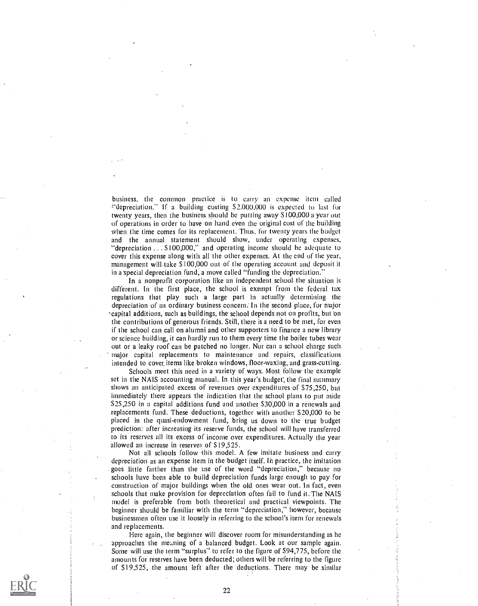business, the common practice is to carry an expense item called -"depreciation." If a building costing 52,000,000 is expected to last for twenty years, then the business should be putting away S 100,000 a year out of operations in order to have on hand even the original cost of the building when the time comes for its replacement. Thus, for twenty years the budget and the annual statement should show, under operating expenses, "depreciation ... \$100,000," and operating income should be adequate to cover this expense along with all the other expenses. At the end of the year, management will. take \$100,000 out of the operating account and deposit it in a special depreciation fund, a move called "funding the depreciation."

In a nonprofit corporation like an independent school. the situation is different. In the first place, the school is exempt from the federal tax regulations that play such a large part in actually determining the depreciation of an ordinary business concern; In the second place, for major -capital additions, such as buildings, the school depends not on profits, but on the contributions of generous friends. Still, there is a need to be met, for even if the school can call on alumni and other supporters to finance a new library or science building, it can hardly run to them every time the boiler tubes wear out or a leaky roof can be patched no longer. Nor can a school charge such major capital replacements to maintenance and repairs, classifications intended to cover, items like broken windows, floor-waxing, and grass-cutting.

Schools meet this need in a variety of ways. Most follow the example set in the NAIS accounting manual. In this year's budget', the final summary shows an anticipated excess of revenues over expenditures of 575,250, but immediately there appears the indication that the school plans to put aside \$25,250 in a capital additions fund and another \$30,000 in a renewals and replacements fund. These deductions, together with another \$20,000 to be placed in the quasi-endowment fund, bring us down to the true budget prediction: after increasing its reserve funds, the school will have transferred to its reserves all its excess of income over expenditures. Actually the year allowed an increase in reserves of \$19,525.

Not all schools follow this model. A few imitate business and carry depreciation as an expense item in the budget itself. In practice, the imitation goes little farther than the use of the word "depreciation," because no schools have been able to build depreciation funds large enough to pay for construction of major buildings when the old ones wear out. In fact, even schools that make provision for depreciation often fail to fund it. The NAIS model is preferable from both theoretical and practical viewpoints. The beginner should be familiar with the term "depreciation," however, because businessmen often use it loosely in referring to the school's item for renewals and replacements.

Here again, the beginner will discover room for misunderstanding as he approaches the meaning of a balanced budget. Look at our sample again. Some will use the term "surplus" to refer to the figure of \$94,775, before the amounts for reserves have been deducted; others will be referring to the figure of \$19,525, the amount left after the deductions. There may be similar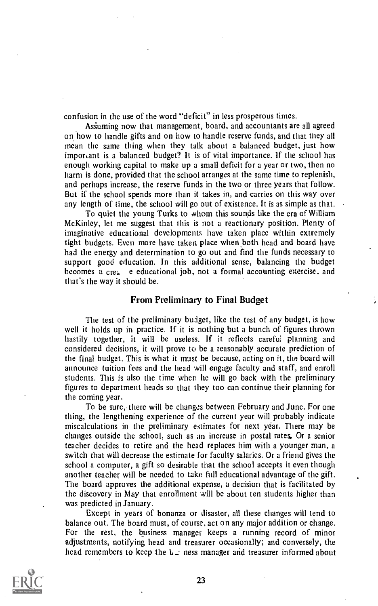confusion in the use of the word "deficit" in less prosperous times.

Asiuming now that management, board, and accountants are all agreed on how to handle gifts and on how to handle reserve funds, and that they all mean the same thing when they talk about a balanced budget, just how important is a balanced budget? It is of vital importance. If the school has enough working capital to make up a small deficit for a year or two, then no harm is done, provided that the school arranges at the same time to replenish, and perhaps increase, the reserve funds in the two or three years that follow. But if the school spends more than it takes in, and carries on this way over any length of time, the school will go out of existence. It is as simple as that.

To quiet the young Turks to whom this sounds like the era of William McKinley, let me suggest that ihis is not a reactionary position. Plenty of imaginative educational developments have taken place within extremely tight budgets. Even more have taken place when both head and board have had the energy and determination to go out and find the funds necessary to support good education. In this additional sense, balancing the budget becomes a cre<sub>b</sub> e educational job, not a formal accounting exercise, and that's the way it should be.

### From Preliminary to Final Budget

The test of the preliminary budget, like the test of any budget, is how well it holds up in practice. If it is nothing but a bunch of figures thrown hastily together, it will be useless. If it reflects careful planning and considered decisions, it will prove to be a reasonably accurate prediction of the final budget. This is what it must be because, acting on it, the board will announce tuition fees and the head will engage faculty and staff, and enroll students. This is also the time when he will go back with the preliminary figures to department heads so that they too can continue their planning for the coming year.

To be sure, there will be changes between February and June. For one thing, the lengthening experience of the current year will probably indicate miscalculations in the preliminary estimates for next year. There may be changes outside the school, such as an increase in postal rates Or a senior teacher decides to retire and the head replaces him with a younger man, a switch that will decrease the estimate for faculty salaries. Or a friend gives the school a computer, a gift so desirable that the school accepts it even though another teacher will be needed to take full educational advantage of the gift. The board approves the additional expense, a decision that is facilitated by the discovery in May that enrollment will be about ten students higher than was predicted in January.

Except in years of bonanza or disaster, all these changes will tend to balance out. The board must, of course, act on any major addition or change. For the rest, the business manager keeps a running record of minor adjustments, notifying head and treasurer occasionally; and conversely, the head remembers to keep the  $L_{\text{L}}$  ness manager and treasurer informed about

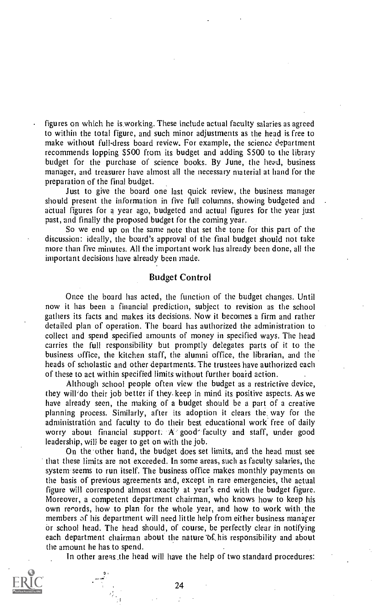figures on which he is.working. These include actual faculty salaries as agreed to within the total figure, and such minor adjustments as the head is free to make without full-dress board review. For example, the science department recommends lopping \$500 from its budget and adding 5500 to the library budget for the purchase of science books. By June, the heed, business manager, and treasurer have almost all the necessary material at hand for the preparation of the final budget.

Just to give the board one last quick review, the business manager should present the information in five full columns, showing budgeted and actual figures for a year ago, budgeted and actual figures for the year just past, and finally the proposed budget for the coming year.

So we end up on the same note that set the tone for this part of the discussion: ideally, the board's approval of the final budget should not take more than five minutes. All the important work has already been done, all the important decisions have already been made.

### Budget Control

Once the board has acted, the function of the budget changes. Until now it has been a financial prediction, subject to revision as the school gathers its facts and makes its decisions. Now it becomes a firm and rather detailed plan of operation. The board has authorized the administration to collect and spend specified amounts of money in specified ways. The head carries the full responsibility but promptly delegates parts of it to the business office, the kitchen staff, the alumni office, the librarian, and the heads of scholastic and other departments. The trustees have authorized each of these to act within specified limits without further board action.

Although school people often view the budget as a restrictive device, they will'do their job better if they. keep in mind its positive aspects. As we have already seen, the making of a budget should be a part of a creative planning process. Similarly, after its adoption it clears the, way for the administration and faculty to do their best educational work free of daily worry about financial support: A good faculty and staff, under good leadership, will be eager to get on with the job.

On the 'other hand, the budget does set limits, and the head must see that these limits are not exceeded. In some areas, such as faculty salaries, the system seems to run itself. The business office makes monthly payments on the basis of previous agreements and, except in rare emergencies, the actual figure will correspond almost exactly at year's end with the budget figure. Moreover, a competent department chairman, who knows how to keep his own records, how to plan for the whole year, and how to work with the members of his department will need little help from either business manager or school head. The head should, of course, be perfectly clear in notifying each department chairman about the nature  $\alpha$  his responsibility and about the amount he has to spend.

In other areas the head will have the help of two standard procedures:

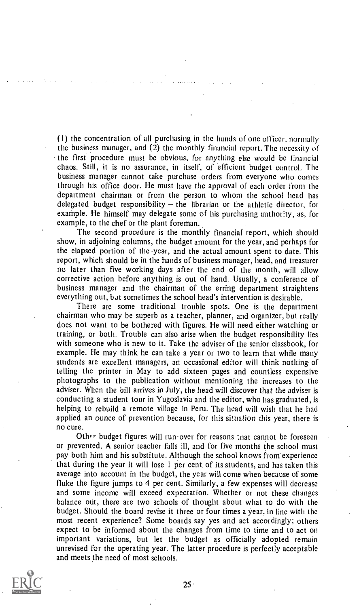(i) the concentration of all purchasing in the hands of one officer, normally the business manager, and (2) the monthly financial report. The necessity of the first procedure must be obvious, for anything else would be financial chaos. Still, it is no assurance, in itself, of efficient budget control. The business manager cannot take purchase orders from everyone who comes through his office door, He must have the approval of each order from the department chairman or from the person to whom the school head has delegated budget responsibility  $-$  the librarian or the athletic director, for example. He himself may delegate some of his purchasing authority, as, for example, to the chef or the plant foreman.

The second procedure is the monthly financial report, which should show, in adjoining columns, the budget amount for the year, and perhaps for the elapsed portion of the year, and the actual amount spent to date. This report, which should be in the hands of business manager, head, and treasurer no later than five working days after the end of the month, will allow corrective action before anything is out of hand. Usually, a conference of business manager and the chairman of the erring department straightens everything out, bat sometimes the school head's intervention is desirable.

There are some traditional trouble spots. One is the department chairman who may be superb as a teacher, planner, and organizer, but really does not want to be bothered with figures. He will need either watching or training, or both. Trouble can also arise when the budget responsibility lies with someone who is new to it. Take the adviser of the senior classbook, for example. He may think he can take a year or two to learn that while many students are excellent managers, an occasional editor will think nothing- of telling the printer in May to add sixteen pages and countless expensive photographs to the publication without mentioning the increases to the adviser. When the bill arrives in July, the head will discover that the adviser is conducting a student tour in Yugoslavia and the editor, who has graduated, is helping to rebuild a remote village in Peru. The head will wish that he had applied an ounce of prevention because, for this situation this year, there is no cure.

Other budget figures will run-over for reasons ; nat cannot be foreseen or prevented, A senior teacher falls ill, and for five months the school must pay both him and his substitute. Although the school knows from experience that during the year it will lose I per cent, of its students, and has taken this average into account in the budget, the year will come when because of some fluke the figure jumps to 4 per cent. Similarly, a few expenses will decrease and some income will exceed expectation. Whether or not these changes balance out, there are two schools of thought about what to do with the budget. Should the board revise it three or four times a year, in line with the most recent experience? Some boards say yes and act accordingly; others expect to be informed about the changes from time to time and to act on important variations, but let the budget as officially adopted remain unrevised for the operating year. The latter procedure is perfectly acceptable and meets the need of most schools.

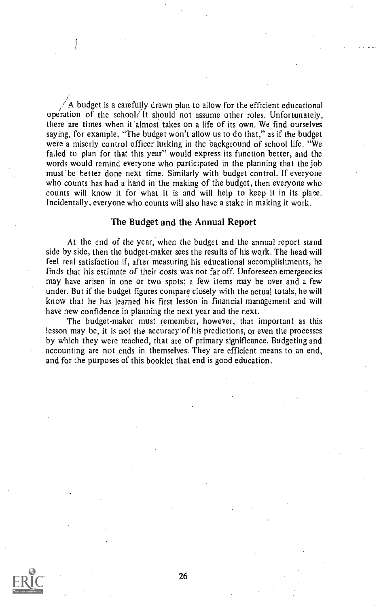A budget is a carefully drawn plan to allow for the efficient educational operation of the school. It should not assume other roles. Unfortunately, there are times when it almost takes on a life of its own. We find ourselves saying, for example, "The budget won't allow us to do that," as if the budget were a miserly control officer lurking in the background of school life. "We failed to plan for that this year" would express its function better, and the words would remind everyone who participated in the planning that the job must 'be better done next time. Similarly with budget control. If everyone who counts has had a hand in the making of the budget, then everyone who counts will know it for what it is and will help to keep it in its place. Incidentally, everyone who counts will also have a stake in making it work.

### The Budget and the Annual Report

At the end of the year, when the budget and the annual report stand side by side, then the budget-maker sees the results of his work. The head will feel real satisfaction if, after measuring his educational accomplishments, he finds that his estimate of their costs was not far off. Unforeseen emergencies may have arisen in one or two spots; a few items may be over and a few under. But if the budget figures compare closely with the actual totals, he will know that he has learned his first lesson in financial management and will have new confidence in planning the next year and the next.

The budget-maker must remember, however, that important as this lesson may be, it is not the accuracy'of his predictions, or even the processes by which they were reached, that are of primary significance. Budgeting and accounting are not ends in themselves. They are efficient means to an end, and for the purposes of this booklet that end is good education.

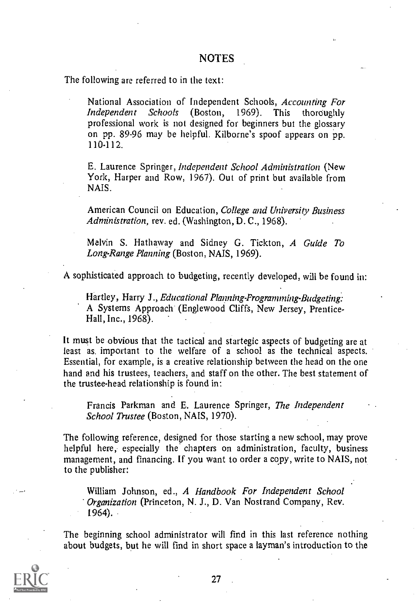The following are referred to in the text:

National Association of Independent Schools, Accounting For<br>Independent Schools (Boston, 1969). This thoroughly Schools (Boston, 1969). This thoroughly professional work is not designed for beginners but the glossary on pp. 89-96 may be helpful. Kilborne's spoof appears on pp. 110-112.

E. Laurence Springer, Independent School Administration (New York, Harper and Row, 1967). Out of print but available from NAIS.

American Council on Education, College and University Business Administration, rev. ed. (Washington, D. C., 1968).

Melvin S. Hathaway and Sidney G. Tickton, A Guide To Long-Range Planning (Boston, NAIS, 1969).

A sophisticated approach to budgeting, recently developed, will be found in:

Hartley, Harry J., Educational Planning-Programming-Budgeting: A Systems Approach (Englewood Cliffs, New Jersey, Prentice-Hall, Inc., 1968).

It must be obvious that the tactical and startegic aspects of budgeting are at least as. important to the welfare of a school as the technical aspects. Essential, for example, is a creative relationship between the head on the one hand and his trustees, teachers, and staff on the other. The best statement of the trustee-head relationship is found in:

Francis Parkman and E. Laurence Springer, The Independent School Trustee (Boston, NAIS, 1970).

The following reference, designed for those starting a new school, may prove helpful here, especially the chapters on administration, faculty, business management, and financing. If you want to order a copy, write to NAIS, not to the publisher:

William Johnson, ed., A Handbook For Independent School Organization (Princeton, N. J., D. Van Nostrand Company, Rev. 1964).

The beginning school administrator will find in this last reference nothing about budgets, but he will find in short space a layman's introduction to the